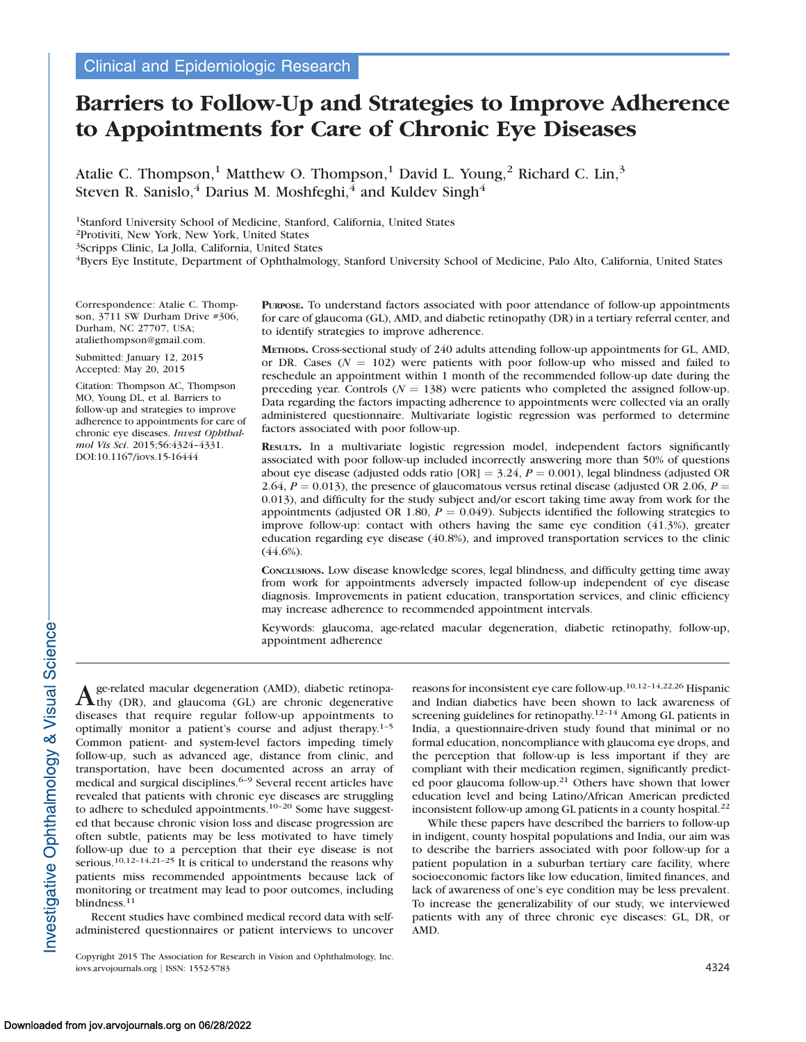# Barriers to Follow-Up and Strategies to Improve Adherence to Appointments for Care of Chronic Eye Diseases

Atalie C. Thompson,<sup>1</sup> Matthew O. Thompson,<sup>1</sup> David L. Young,<sup>2</sup> Richard C. Lin,<sup>3</sup> Steven R. Sanislo,  $4$  Darius M. Moshfeghi,  $4$  and Kuldev Singh $4$ 

1Stanford University School of Medicine, Stanford, California, United States

2Protiviti, New York, New York, United States

3Scripps Clinic, La Jolla, California, United States

4Byers Eye Institute, Department of Ophthalmology, Stanford University School of Medicine, Palo Alto, California, United States

Correspondence: Atalie C. Thompson,  $3711$  SW Durham Drive #306, Durham, NC 27707, USA; ataliethompson@gmail.com.

Submitted: January 12, 2015 Accepted: May 20, 2015

Citation: Thompson AC, Thompson MO, Young DL, et al. Barriers to follow-up and strategies to improve adherence to appointments for care of chronic eye diseases. Invest Ophthalmol Vis Sci. 2015;56:4324–4331. DOI:10.1167/iovs.15-16444

PURPOSE. To understand factors associated with poor attendance of follow-up appointments for care of glaucoma (GL), AMD, and diabetic retinopathy (DR) in a tertiary referral center, and to identify strategies to improve adherence.

METHODS. Cross-sectional study of 240 adults attending follow-up appointments for GL, AMD, or DR. Cases ( $N = 102$ ) were patients with poor follow-up who missed and failed to reschedule an appointment within 1 month of the recommended follow-up date during the preceding year. Controls ( $N = 138$ ) were patients who completed the assigned follow-up. Data regarding the factors impacting adherence to appointments were collected via an orally administered questionnaire. Multivariate logistic regression was performed to determine factors associated with poor follow-up.

RESULTS. In a multivariate logistic regression model, independent factors significantly associated with poor follow-up included incorrectly answering more than 50% of questions about eye disease (adjusted odds ratio  $[OR] = 3.24$ ,  $P = 0.001$ ), legal blindness (adjusted OR 2.64,  $P = 0.013$ ), the presence of glaucomatous versus retinal disease (adjusted OR 2.06,  $P =$ 0.013), and difficulty for the study subject and/or escort taking time away from work for the appointments (adjusted OR 1.80,  $P = 0.049$ ). Subjects identified the following strategies to improve follow-up: contact with others having the same eye condition (41.3%), greater education regarding eye disease (40.8%), and improved transportation services to the clinic  $(44.6\%)$ .

CONCLUSIONS. Low disease knowledge scores, legal blindness, and difficulty getting time away from work for appointments adversely impacted follow-up independent of eye disease diagnosis. Improvements in patient education, transportation services, and clinic efficiency may increase adherence to recommended appointment intervals.

Keywords: glaucoma, age-related macular degeneration, diabetic retinopathy, follow-up, appointment adherence

Age-related macular degeneration (AMD), diabetic retinopa-thy (DR), and glaucoma (GL) are chronic degenerative diseases that require regular follow-up appointments to optimally monitor a patient's course and adjust therapy.1–5 Common patient- and system-level factors impeding timely follow-up, such as advanced age, distance from clinic, and transportation, have been documented across an array of medical and surgical disciplines.6–9 Several recent articles have revealed that patients with chronic eye diseases are struggling to adhere to scheduled appointments.<sup>10–20</sup> Some have suggested that because chronic vision loss and disease progression are often subtle, patients may be less motivated to have timely follow-up due to a perception that their eye disease is not serious.<sup>10,12–14,21–25</sup> It is critical to understand the reasons why patients miss recommended appointments because lack of monitoring or treatment may lead to poor outcomes, including blindness.<sup>11</sup>

Recent studies have combined medical record data with selfadministered questionnaires or patient interviews to uncover reasons for inconsistent eye care follow-up.10,12–14,22,26 Hispanic and Indian diabetics have been shown to lack awareness of screening guidelines for retinopathy.<sup>12–14</sup> Among GL patients in India, a questionnaire-driven study found that minimal or no formal education, noncompliance with glaucoma eye drops, and the perception that follow-up is less important if they are compliant with their medication regimen, significantly predicted poor glaucoma follow-up.21 Others have shown that lower education level and being Latino/African American predicted inconsistent follow-up among GL patients in a county hospital.<sup>22</sup>

While these papers have described the barriers to follow-up in indigent, county hospital populations and India, our aim was to describe the barriers associated with poor follow-up for a patient population in a suburban tertiary care facility, where socioeconomic factors like low education, limited finances, and lack of awareness of one's eye condition may be less prevalent. To increase the generalizability of our study, we interviewed patients with any of three chronic eye diseases: GL, DR, or AMD.

Copyright 2015 The Association for Research in Vision and Ophthalmology, Inc. iovs.arvojournals.org j ISSN: 1552-5783 4324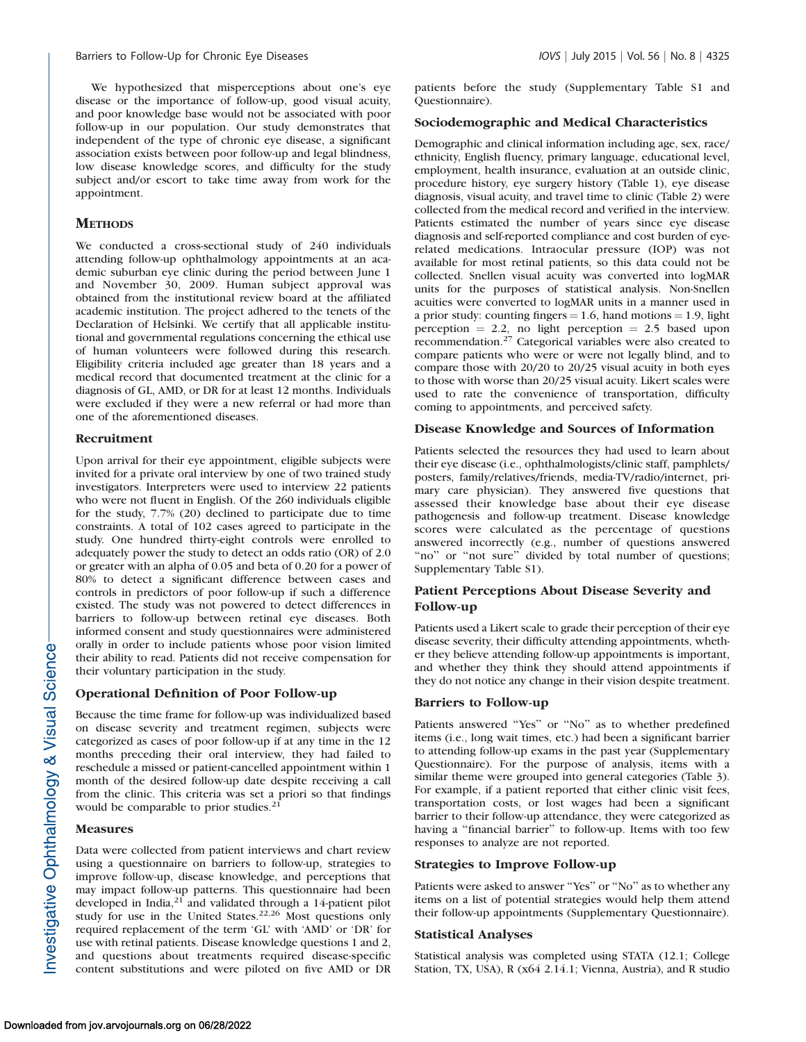We hypothesized that misperceptions about one's eye disease or the importance of follow-up, good visual acuity, and poor knowledge base would not be associated with poor follow-up in our population. Our study demonstrates that independent of the type of chronic eye disease, a significant association exists between poor follow-up and legal blindness, low disease knowledge scores, and difficulty for the study subject and/or escort to take time away from work for the appointment.

## **METHODS**

We conducted a cross-sectional study of 240 individuals attending follow-up ophthalmology appointments at an academic suburban eye clinic during the period between June 1 and November 30, 2009. Human subject approval was obtained from the institutional review board at the affiliated academic institution. The project adhered to the tenets of the Declaration of Helsinki. We certify that all applicable institutional and governmental regulations concerning the ethical use of human volunteers were followed during this research. Eligibility criteria included age greater than 18 years and a medical record that documented treatment at the clinic for a diagnosis of GL, AMD, or DR for at least 12 months. Individuals were excluded if they were a new referral or had more than one of the aforementioned diseases.

#### Recruitment

Upon arrival for their eye appointment, eligible subjects were invited for a private oral interview by one of two trained study investigators. Interpreters were used to interview 22 patients who were not fluent in English. Of the 260 individuals eligible for the study, 7.7% (20) declined to participate due to time constraints. A total of 102 cases agreed to participate in the study. One hundred thirty-eight controls were enrolled to adequately power the study to detect an odds ratio (OR) of 2.0 or greater with an alpha of 0.05 and beta of 0.20 for a power of 80% to detect a significant difference between cases and controls in predictors of poor follow-up if such a difference existed. The study was not powered to detect differences in barriers to follow-up between retinal eye diseases. Both informed consent and study questionnaires were administered orally in order to include patients whose poor vision limited their ability to read. Patients did not receive compensation for their voluntary participation in the study.

#### Operational Definition of Poor Follow-up

Because the time frame for follow-up was individualized based on disease severity and treatment regimen, subjects were categorized as cases of poor follow-up if at any time in the 12 months preceding their oral interview, they had failed to reschedule a missed or patient-cancelled appointment within 1 month of the desired follow-up date despite receiving a call from the clinic. This criteria was set a priori so that findings would be comparable to prior studies.<sup>21</sup>

#### **Measures**

Data were collected from patient interviews and chart review using a questionnaire on barriers to follow-up, strategies to improve follow-up, disease knowledge, and perceptions that may impact follow-up patterns. This questionnaire had been developed in India,<sup>21</sup> and validated through a 14-patient pilot study for use in the United States.<sup>22,26</sup> Most questions only required replacement of the term 'GL' with 'AMD' or 'DR' for use with retinal patients. Disease knowledge questions 1 and 2, and questions about treatments required disease-specific content substitutions and were piloted on five AMD or DR

patients before the study (Supplementary Table S1 and Questionnaire).

#### Sociodemographic and Medical Characteristics

Demographic and clinical information including age, sex, race/ ethnicity, English fluency, primary language, educational level, employment, health insurance, evaluation at an outside clinic, procedure history, eye surgery history (Table 1), eye disease diagnosis, visual acuity, and travel time to clinic (Table 2) were collected from the medical record and verified in the interview. Patients estimated the number of years since eye disease diagnosis and self-reported compliance and cost burden of eyerelated medications. Intraocular pressure (IOP) was not available for most retinal patients, so this data could not be collected. Snellen visual acuity was converted into logMAR units for the purposes of statistical analysis. Non-Snellen acuities were converted to logMAR units in a manner used in a prior study: counting fingers  $= 1.6$ , hand motions  $= 1.9$ , light perception  $= 2.2$ , no light perception  $= 2.5$  based upon recommendation.<sup>27</sup> Categorical variables were also created to compare patients who were or were not legally blind, and to compare those with 20/20 to 20/25 visual acuity in both eyes to those with worse than 20/25 visual acuity. Likert scales were used to rate the convenience of transportation, difficulty coming to appointments, and perceived safety.

#### Disease Knowledge and Sources of Information

Patients selected the resources they had used to learn about their eye disease (i.e., ophthalmologists/clinic staff, pamphlets/ posters, family/relatives/friends, media-TV/radio/internet, primary care physician). They answered five questions that assessed their knowledge base about their eye disease pathogenesis and follow-up treatment. Disease knowledge scores were calculated as the percentage of questions answered incorrectly (e.g., number of questions answered "no" or "not sure" divided by total number of questions; Supplementary Table S1).

## Patient Perceptions About Disease Severity and Follow-up

Patients used a Likert scale to grade their perception of their eye disease severity, their difficulty attending appointments, whether they believe attending follow-up appointments is important, and whether they think they should attend appointments if they do not notice any change in their vision despite treatment.

#### Barriers to Follow-up

Patients answered ''Yes'' or ''No'' as to whether predefined items (i.e., long wait times, etc.) had been a significant barrier to attending follow-up exams in the past year (Supplementary Questionnaire). For the purpose of analysis, items with a similar theme were grouped into general categories (Table 3). For example, if a patient reported that either clinic visit fees, transportation costs, or lost wages had been a significant barrier to their follow-up attendance, they were categorized as having a "financial barrier" to follow-up. Items with too few responses to analyze are not reported.

#### Strategies to Improve Follow-up

Patients were asked to answer ''Yes'' or ''No'' as to whether any items on a list of potential strategies would help them attend their follow-up appointments (Supplementary Questionnaire).

#### Statistical Analyses

Statistical analysis was completed using STATA (12.1; College Station, TX, USA), R (x64 2.14.1; Vienna, Austria), and R studio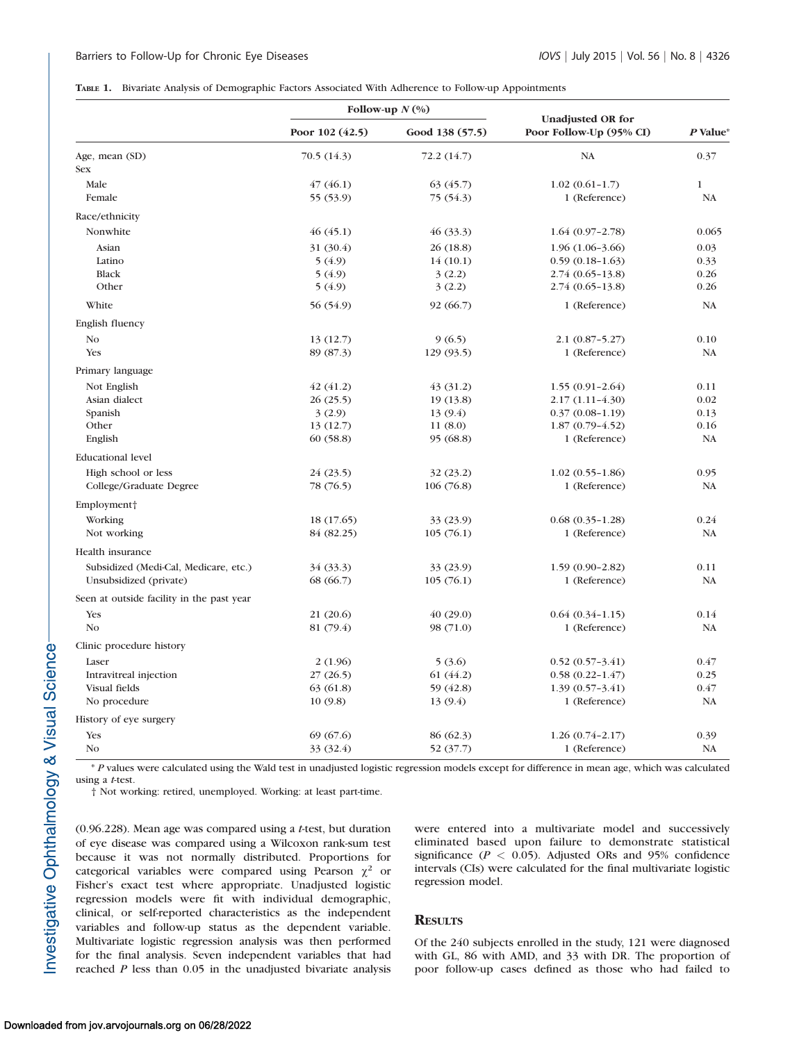|  |  |  |  |  | TABLE 1. Bivariate Analysis of Demographic Factors Associated With Adherence to Follow-up Appointments |  |
|--|--|--|--|--|--------------------------------------------------------------------------------------------------------|--|
|--|--|--|--|--|--------------------------------------------------------------------------------------------------------|--|

|                                           | Follow-up $N(\%)$ |                 |                                              |              |  |
|-------------------------------------------|-------------------|-----------------|----------------------------------------------|--------------|--|
|                                           | Poor 102 (42.5)   | Good 138 (57.5) | Unadjusted OR for<br>Poor Follow-Up (95% CI) | P Value*     |  |
| Age, mean (SD)<br><b>Sex</b>              | 70.5 (14.3)       | 72.2 (14.7)     | <b>NA</b>                                    | 0.37         |  |
| Male                                      | 47(46.1)          | 63(45.7)        | $1.02(0.61-1.7)$                             | $\mathbf{1}$ |  |
| Female                                    | 55 (53.9)         | 75 (54.3)       | 1 (Reference)                                | <b>NA</b>    |  |
| Race/ethnicity                            |                   |                 |                                              |              |  |
| Nonwhite                                  | 46(45.1)          | 46 (33.3)       | $1.64(0.97-2.78)$                            | 0.065        |  |
| Asian                                     | 31 (30.4)         | 26(18.8)        | $1.96(1.06-3.66)$                            | 0.03         |  |
| Latino                                    | 5(4.9)            | 14(10.1)        | $0.59(0.18-1.63)$                            | 0.33         |  |
| <b>Black</b>                              | 5(4.9)            | 3(2.2)          | $2.74(0.65 - 13.8)$                          | 0.26         |  |
| Other                                     | 5(4.9)            | 3(2.2)          | $2.74(0.65 - 13.8)$                          | 0.26         |  |
| White                                     | 56 (54.9)         | 92 (66.7)       | 1 (Reference)                                | <b>NA</b>    |  |
| English fluency                           |                   |                 |                                              |              |  |
| No                                        | 13 (12.7)         | 9(6.5)          | $2.1(0.87 - 5.27)$                           | 0.10         |  |
| Yes                                       | 89 (87.3)         | 129 (93.5)      | 1 (Reference)                                | <b>NA</b>    |  |
| Primary language                          |                   |                 |                                              |              |  |
| Not English                               | 42(41.2)          | 43 (31.2)       | $1.55(0.91 - 2.64)$                          | 0.11         |  |
| Asian dialect                             | 26(25.5)          | 19 (13.8)       | $2.17(1.11-4.30)$                            | 0.02         |  |
| Spanish                                   | 3(2.9)            | 13 (9.4)        | $0.37(0.08-1.19)$                            | 0.13         |  |
| Other                                     | 13(12.7)          | 11(8.0)         | $1.87(0.79-4.52)$                            | 0.16         |  |
| English                                   | 60(58.8)          | 95 (68.8)       | 1 (Reference)                                | <b>NA</b>    |  |
| <b>Educational level</b>                  |                   |                 |                                              |              |  |
| High school or less                       | 24(23.5)          | 32 (23.2)       | $1.02(0.55 - 1.86)$                          | 0.95         |  |
| College/Graduate Degree                   | 78 (76.5)         | 106(76.8)       | 1 (Reference)                                | <b>NA</b>    |  |
| Employment <sup>+</sup>                   |                   |                 |                                              |              |  |
| Working                                   | 18 (17.65)        | 33 (23.9)       | $0.68(0.35-1.28)$                            | 0.24         |  |
| Not working                               | 84 (82.25)        | 105(76.1)       | 1 (Reference)                                | <b>NA</b>    |  |
| Health insurance                          |                   |                 |                                              |              |  |
| Subsidized (Medi-Cal, Medicare, etc.)     | 34 (33.3)         | 33 (23.9)       | $1.59(0.90-2.82)$                            | 0.11         |  |
| Unsubsidized (private)                    | 68 (66.7)         | 105(76.1)       | 1 (Reference)                                | <b>NA</b>    |  |
| Seen at outside facility in the past year |                   |                 |                                              |              |  |
| Yes                                       | 21(20.6)          | 40(29.0)        | $0.64(0.34 - 1.15)$                          | 0.14         |  |
| No                                        | 81 (79.4)         | 98 (71.0)       | 1 (Reference)                                | <b>NA</b>    |  |
| Clinic procedure history                  |                   |                 |                                              |              |  |
| Laser                                     | 2(1.96)           | 5(3.6)          | $0.52(0.57-3.41)$                            | 0.47         |  |
| Intravitreal injection                    | 27(26.5)          | 61(44.2)        | $0.58(0.22 - 1.47)$                          | 0.25         |  |
| Visual fields                             | 63(61.8)          | 59 (42.8)       | $1.39(0.57-3.41)$                            | 0.47         |  |
| No procedure                              | 10(9.8)           | 13(9.4)         | 1 (Reference)                                | <b>NA</b>    |  |
| History of eye surgery                    |                   |                 |                                              |              |  |
| Yes                                       | 69(67.6)          | 86 (62.3)       | $1.26(0.74 - 2.17)$                          | 0.39         |  |
| N <sub>o</sub>                            | 33 (32.4)         | 52 (37.7)       | 1 (Reference)                                | <b>NA</b>    |  |

\* P values were calculated using the Wald test in unadjusted logistic regression models except for difference in mean age, which was calculated using a t-test.

† Not working: retired, unemployed. Working: at least part-time.

(0.96.228). Mean age was compared using a t-test, but duration of eye disease was compared using a Wilcoxon rank-sum test because it was not normally distributed. Proportions for categorical variables were compared using Pearson  $\chi^2$  or Fisher's exact test where appropriate. Unadjusted logistic regression models were fit with individual demographic, clinical, or self-reported characteristics as the independent variables and follow-up status as the dependent variable. Multivariate logistic regression analysis was then performed for the final analysis. Seven independent variables that had reached  $P$  less than 0.05 in the unadjusted bivariate analysis were entered into a multivariate model and successively eliminated based upon failure to demonstrate statistical significance ( $P < 0.05$ ). Adjusted ORs and 95% confidence intervals (CIs) were calculated for the final multivariate logistic regression model.

# **RESULTS**

Of the 240 subjects enrolled in the study, 121 were diagnosed with GL, 86 with AMD, and 33 with DR. The proportion of poor follow-up cases defined as those who had failed to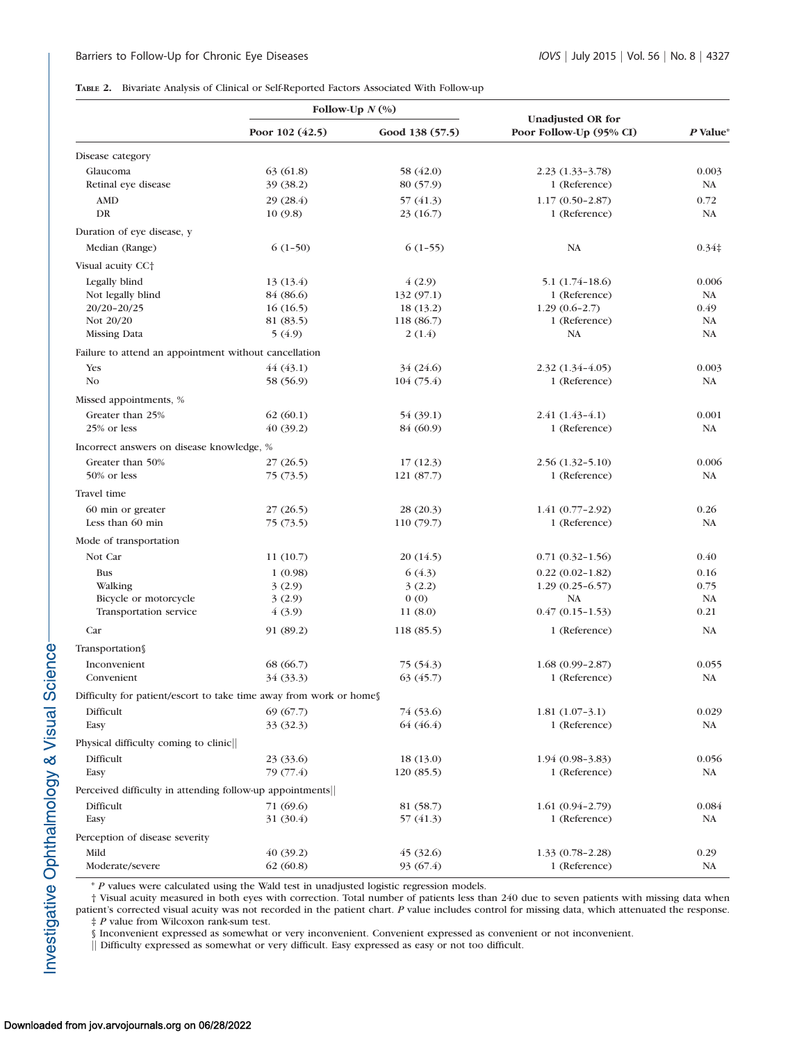## TABLE 2. Bivariate Analysis of Clinical or Self-Reported Factors Associated With Follow-up

|                                                                    | Follow-Up $N(\%)$      |                        |                                              |             |  |
|--------------------------------------------------------------------|------------------------|------------------------|----------------------------------------------|-------------|--|
|                                                                    | Poor 102 (42.5)        | Good 138 (57.5)        | Unadjusted OR for<br>Poor Follow-Up (95% CI) | P Value*    |  |
| Disease category                                                   |                        |                        |                                              |             |  |
| Glaucoma                                                           | 63 (61.8)              | 58 (42.0)              | $2.23(1.33-3.78)$                            | 0.003       |  |
| Retinal eye disease                                                | 39 (38.2)              | 80 (57.9)              | 1 (Reference)                                | NA          |  |
| <b>AMD</b>                                                         | 29 (28.4)              | 57(41.3)               | $1.17(0.50-2.87)$                            | 0.72        |  |
| DR                                                                 | 10(9.8)                | 23(16.7)               | 1 (Reference)                                | NA          |  |
| Duration of eye disease, y                                         |                        |                        |                                              |             |  |
| Median (Range)                                                     | $6(1-50)$              | $6(1-55)$              | NA                                           | $0.34\pm$   |  |
|                                                                    |                        |                        |                                              |             |  |
| Visual acuity CC <sup>+</sup>                                      |                        |                        |                                              |             |  |
| Legally blind                                                      | 13 (13.4)              | (2.9)                  | $5.1(1.74-18.6)$                             | 0.006       |  |
| Not legally blind                                                  | 84 (86.6)              | 132 (97.1)             | 1 (Reference)                                | NA          |  |
| 20/20-20/25                                                        | 16(16.5)               | 18 (13.2)              | $1.29(0.6-2.7)$                              | 0.49        |  |
| Not 20/20                                                          | 81 (83.5)              | 118 (86.7)             | 1 (Reference)                                | NA          |  |
| Missing Data                                                       | 5(4.9)                 | 2(1.4)                 | NA                                           | NA          |  |
| Failure to attend an appointment without cancellation              |                        |                        |                                              |             |  |
| <b>Yes</b>                                                         | 44(43.1)               | 34 (24.6)              | $2.32(1.34 - 4.05)$                          | 0.003       |  |
| No                                                                 | 58 (56.9)              | 104(75.4)              | 1 (Reference)                                | NA          |  |
| Missed appointments, %                                             |                        |                        |                                              |             |  |
| Greater than 25%                                                   | 62(60.1)               | 54 (39.1)              | $2.41(1.43-4.1)$                             | 0.001       |  |
| 25% or less                                                        | 40 (39.2)              | 84 (60.9)              | 1 (Reference)                                | NA          |  |
| Incorrect answers on disease knowledge, %                          |                        |                        |                                              |             |  |
|                                                                    | 27(26.5)               |                        |                                              | 0.006       |  |
| Greater than 50%<br>50% or less                                    | 75 (73.5)              | 17(12.3)<br>121 (87.7) | $2.56(1.32 - 5.10)$<br>1 (Reference)         | NA          |  |
|                                                                    |                        |                        |                                              |             |  |
| Travel time                                                        |                        |                        |                                              |             |  |
| 60 min or greater                                                  | 27(26.5)               | 28(20.3)               | $1.41(0.77-2.92)$                            | 0.26        |  |
| Less than 60 min                                                   | 75 (73.5)              | 110 (79.7)             | 1 (Reference)                                | NA          |  |
| Mode of transportation                                             |                        |                        |                                              |             |  |
| Not Car                                                            | 11(10.7)               | 20 (14.5)              | $0.71(0.32-1.56)$                            | 0.40        |  |
| <b>Bus</b>                                                         | 1(0.98)                | 6(4.3)                 | $0.22(0.02 - 1.82)$                          | 0.16        |  |
| Walking                                                            | 3(2.9)                 | 3(2.2)                 | $1.29(0.25-6.57)$                            | 0.75        |  |
| Bicycle or motorcycle                                              | 3(2.9)                 | 0(0)                   | NA                                           | NA          |  |
| Transportation service                                             | (3.9)                  | 11(8.0)                | $0.47(0.15-1.53)$                            | 0.21        |  |
| Car                                                                | 91 (89.2)              | 118 (85.5)             | 1 (Reference)                                | NA          |  |
| Transportation                                                     |                        |                        |                                              |             |  |
|                                                                    |                        |                        |                                              |             |  |
| Inconvenient<br>Convenient                                         | 68 (66.7)<br>34 (33.3) | 75 (54.3)<br>63(45.7)  | $1.68(0.99-2.87)$<br>1 (Reference)           | 0.055<br>NA |  |
|                                                                    |                        |                        |                                              |             |  |
| Difficulty for patient/escort to take time away from work or homes |                        |                        |                                              |             |  |
| Difficult                                                          | 69 (67.7)              | 74 (53.6)              | $1.81(1.07-3.1)$                             | 0.029       |  |
| Easy                                                               | 33 (32.3)              | 64 (46.4)              | 1 (Reference)                                | NA          |  |
| Physical difficulty coming to clinic                               |                        |                        |                                              |             |  |
| Difficult                                                          | 23 (33.6)              | 18(13.0)               | $1.94(0.98-3.83)$                            | 0.056       |  |
| Easy                                                               | 79 (77.4)              | 120(85.5)              | 1 (Reference)                                | NA          |  |
| Perceived difficulty in attending follow-up appointments           |                        |                        |                                              |             |  |
| Difficult                                                          | 71 (69.6)              | 81 (58.7)              | $1.61(0.94-2.79)$                            | 0.084       |  |
| Easy                                                               | 31 (30.4)              | 57 (41.3)              | 1 (Reference)                                | NA          |  |
|                                                                    |                        |                        |                                              |             |  |
| Perception of disease severity                                     |                        |                        |                                              |             |  |
| Mild                                                               | 40 (39.2)              | 45 (32.6)              | $1.33(0.78-2.28)$                            | 0.29        |  |
| Moderate/severe                                                    | 62(60.8)               | 93 (67.4)              | 1 (Reference)                                | <b>NA</b>   |  |

\* P values were calculated using the Wald test in unadjusted logistic regression models.

† Visual acuity measured in both eyes with correction. Total number of patients less than 240 due to seven patients with missing data when patient's corrected visual acuity was not recorded in the patient chart. P value includes control for missing data, which attenuated the response. ‡ P value from Wilcoxon rank-sum test.

§ Inconvenient expressed as somewhat or very inconvenient. Convenient expressed as convenient or not inconvenient.

jj Difficulty expressed as somewhat or very difficult. Easy expressed as easy or not too difficult.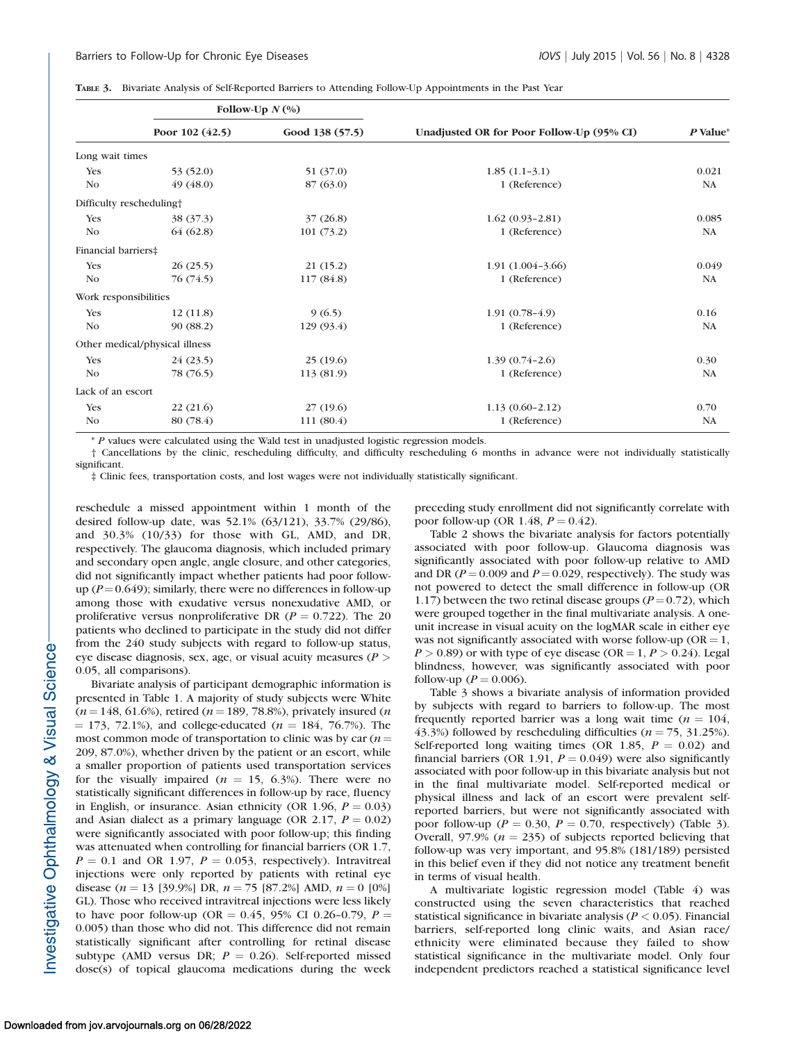|  |  |  |  | TABLE 3. Bivariate Analysis of Self-Reported Barriers to Attending Follow-Up Appointments in the Past Year |
|--|--|--|--|------------------------------------------------------------------------------------------------------------|
|--|--|--|--|------------------------------------------------------------------------------------------------------------|

| Follow-Up $N$ $(\% )$ |                                                                                                                                                    |                                           |            |
|-----------------------|----------------------------------------------------------------------------------------------------------------------------------------------------|-------------------------------------------|------------|
| Poor $102(42.5)$      | Good 138 (57.5)                                                                                                                                    | Unadjusted OR for Poor Follow-Up (95% CI) | $P$ Value* |
|                       |                                                                                                                                                    |                                           |            |
| 53 (52.0)             | 51 (37.0)                                                                                                                                          | $1.85(1.1-3.1)$                           | 0.021      |
| 49(48.0)              | 87(63.0)                                                                                                                                           | 1 (Reference)                             | NA         |
|                       |                                                                                                                                                    |                                           |            |
| 38(37.3)              | 37(26.8)                                                                                                                                           | $1.62(0.93-2.81)$                         | 0.085      |
| 64 (62.8)             | 101(73.2)                                                                                                                                          | 1 (Reference)                             | <b>NA</b>  |
|                       |                                                                                                                                                    |                                           |            |
| 26(25.5)              | 21(15.2)                                                                                                                                           | $1.91(1.004-3.66)$                        | 0.049      |
| 76 (74.5)             | 117 (84.8)                                                                                                                                         | 1 (Reference)                             | <b>NA</b>  |
|                       |                                                                                                                                                    |                                           |            |
| 12(11.8)              | 9(6.5)                                                                                                                                             | $1.91(0.78-4.9)$                          | 0.16       |
| 90 (88.2)             | 129 (93.4)                                                                                                                                         | 1 (Reference)                             | <b>NA</b>  |
|                       |                                                                                                                                                    |                                           |            |
| 24(23.5)              | 25(19.6)                                                                                                                                           | $1.39(0.74-2.6)$                          | 0.30       |
| 78 (76.5)             | 113 (81.9)                                                                                                                                         | 1 (Reference)                             | <b>NA</b>  |
|                       |                                                                                                                                                    |                                           |            |
| 22(21.6)              | 27(19.6)                                                                                                                                           | $1.13(0.60 - 2.12)$                       | 0.70       |
| 80 (78.4)             | 111(80.4)                                                                                                                                          | 1 (Reference)                             | NA         |
|                       | Long wait times<br>Difficulty rescheduling†<br>Financial barriers‡<br>Work responsibilities<br>Other medical/physical illness<br>Lack of an escort |                                           |            |

\* P values were calculated using the Wald test in unadjusted logistic regression models.

† Cancellations by the clinic, rescheduling difficulty, and difficulty rescheduling 6 months in advance were not individually statistically significant.

‡ Clinic fees, transportation costs, and lost wages were not individually statistically significant.

reschedule a missed appointment within 1 month of the desired follow-up date, was 52.1% (63/121), 33.7% (29/86), and 30.3% (10/33) for those with GL, AMD, and DR, respectively. The glaucoma diagnosis, which included primary and secondary open angle, angle closure, and other categories, did not significantly impact whether patients had poor followup ( $P = 0.649$ ); similarly, there were no differences in follow-up among those with exudative versus nonexudative AMD, or proliferative versus nonproliferative DR ( $P = 0.722$ ). The 20 patients who declined to participate in the study did not differ from the 240 study subjects with regard to follow-up status, eye disease diagnosis, sex, age, or visual acuity measures  $(P >$ 0.05, all comparisons).

Bivariate analysis of participant demographic information is presented in Table 1. A majority of study subjects were White  $(n = 148, 61.6%)$ , retired  $(n = 189, 78.8%)$ , privately insured  $(n = 189, 78.8%)$  $= 173, 72.1\%$ , and college-educated ( $n = 184, 76.7\%$ ). The most common mode of transportation to clinic was by car  $(n =$ 209, 87.0%), whether driven by the patient or an escort, while a smaller proportion of patients used transportation services for the visually impaired ( $n = 15, 6.3%$ ). There were no statistically significant differences in follow-up by race, fluency in English, or insurance. Asian ethnicity (OR 1.96,  $P = 0.03$ ) and Asian dialect as a primary language (OR 2.17,  $P = 0.02$ ) were significantly associated with poor follow-up; this finding was attenuated when controlling for financial barriers (OR 1.7,  $P = 0.1$  and OR 1.97,  $P = 0.053$ , respectively). Intravitreal injections were only reported by patients with retinal eye disease ( $n = 13$  [39.9%] DR,  $n = 75$  [87.2%] AMD,  $n = 0$  [0%] GL). Those who received intravitreal injections were less likely to have poor follow-up (OR = 0.45, 95% CI 0.26-0.79,  $P =$ 0.005) than those who did not. This difference did not remain statistically significant after controlling for retinal disease subtype (AMD versus DR;  $P = 0.26$ ). Self-reported missed dose(s) of topical glaucoma medications during the week

preceding study enrollment did not significantly correlate with poor follow-up (OR 1.48,  $P = 0.42$ ).

Table 2 shows the bivariate analysis for factors potentially associated with poor follow-up. Glaucoma diagnosis was significantly associated with poor follow-up relative to AMD and DR ( $P = 0.009$  and  $P = 0.029$ , respectively). The study was not powered to detect the small difference in follow-up (OR 1.17) between the two retinal disease groups ( $P = 0.72$ ), which were grouped together in the final multivariate analysis. A oneunit increase in visual acuity on the logMAR scale in either eye was not significantly associated with worse follow-up ( $OR = 1$ ,  $P > 0.89$  or with type of eye disease (OR = 1,  $P > 0.24$ ). Legal blindness, however, was significantly associated with poor follow-up ( $P = 0.006$ ).

Table 3 shows a bivariate analysis of information provided by subjects with regard to barriers to follow-up. The most frequently reported barrier was a long wait time ( $n = 104$ , 43.3%) followed by rescheduling difficulties ( $n = 75, 31.25$ %). Self-reported long waiting times (OR 1.85,  $P = 0.02$ ) and financial barriers (OR 1.91,  $P = 0.049$ ) were also significantly associated with poor follow-up in this bivariate analysis but not in the final multivariate model. Self-reported medical or physical illness and lack of an escort were prevalent selfreported barriers, but were not significantly associated with poor follow-up ( $P = 0.30$ ,  $P = 0.70$ , respectively) (Table 3). Overall, 97.9% ( $n = 235$ ) of subjects reported believing that follow-up was very important, and 95.8% (181/189) persisted in this belief even if they did not notice any treatment benefit in terms of visual health.

A multivariate logistic regression model (Table 4) was constructed using the seven characteristics that reached statistical significance in bivariate analysis ( $P < 0.05$ ). Financial barriers, self-reported long clinic waits, and Asian race/ ethnicity were eliminated because they failed to show statistical significance in the multivariate model. Only four independent predictors reached a statistical significance level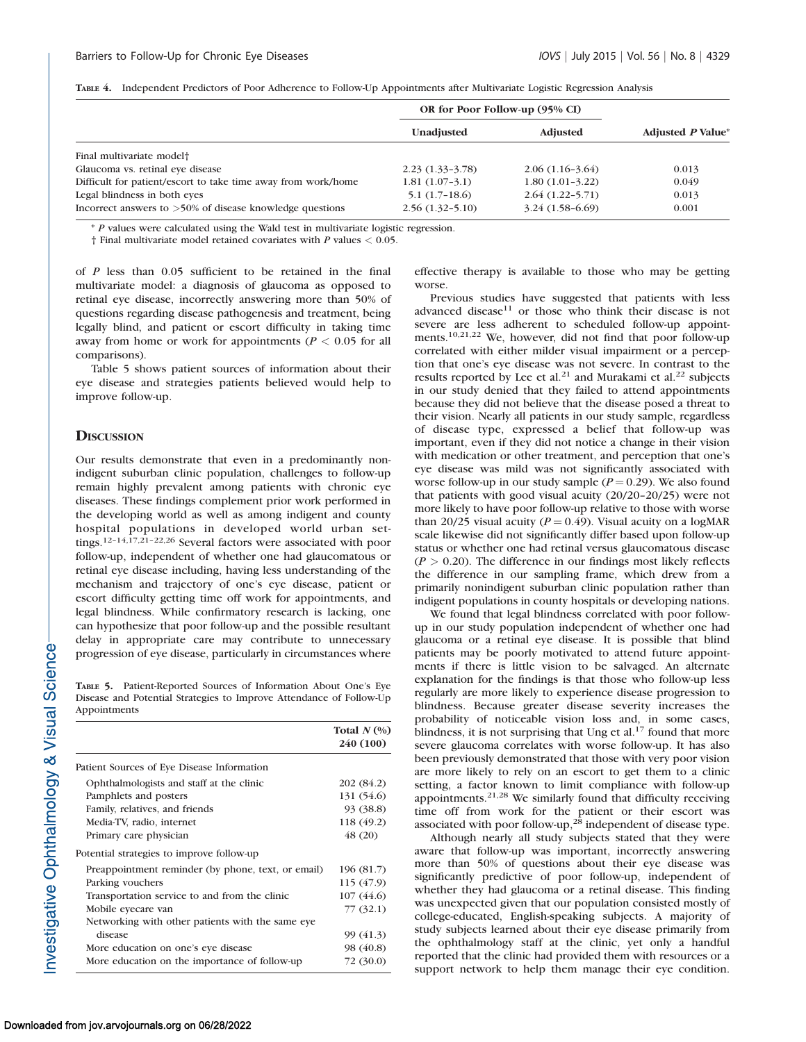|  |  |  |  |  |  | TABLE 4. Independent Predictors of Poor Adherence to Follow-Up Appointments after Multivariate Logistic Regression Analysis |  |  |  |
|--|--|--|--|--|--|-----------------------------------------------------------------------------------------------------------------------------|--|--|--|
|--|--|--|--|--|--|-----------------------------------------------------------------------------------------------------------------------------|--|--|--|

|                                                               | OR for Poor Follow-up (95% CI) |                     |                          |  |
|---------------------------------------------------------------|--------------------------------|---------------------|--------------------------|--|
|                                                               | Unadiusted                     | <b>Adjusted</b>     | <b>Adjusted P Value*</b> |  |
| Final multivariate model <sup>+</sup>                         |                                |                     |                          |  |
| Glaucoma vs. retinal eve disease                              | $2.23(1.33-3.78)$              | $2.06(1.16-3.64)$   | 0.013                    |  |
| Difficult for patient/escort to take time away from work/home | $1.81(1.07-3.1)$               | $1.80(1.01-3.22)$   | 0.049                    |  |
| Legal blindness in both eyes                                  | $5.1(1.7-18.6)$                | $2.64(1.22 - 5.71)$ | 0.013                    |  |
| Incorrect answers to $>50\%$ of disease knowledge questions   | $2.56(1.32 - 5.10)$            | $3.24(1.58-6.69)$   | 0.001                    |  |

\* P values were calculated using the Wald test in multivariate logistic regression.

 $\dagger$  Final multivariate model retained covariates with P values  $< 0.05$ .

of  $P$  less than 0.05 sufficient to be retained in the final multivariate model: a diagnosis of glaucoma as opposed to retinal eye disease, incorrectly answering more than 50% of questions regarding disease pathogenesis and treatment, being legally blind, and patient or escort difficulty in taking time away from home or work for appointments ( $P < 0.05$  for all comparisons).

Table 5 shows patient sources of information about their eye disease and strategies patients believed would help to improve follow-up.

#### **DISCUSSION**

Our results demonstrate that even in a predominantly nonindigent suburban clinic population, challenges to follow-up remain highly prevalent among patients with chronic eye diseases. These findings complement prior work performed in the developing world as well as among indigent and county hospital populations in developed world urban settings.12–14,17,21–22,26 Several factors were associated with poor follow-up, independent of whether one had glaucomatous or retinal eye disease including, having less understanding of the mechanism and trajectory of one's eye disease, patient or escort difficulty getting time off work for appointments, and legal blindness. While confirmatory research is lacking, one can hypothesize that poor follow-up and the possible resultant delay in appropriate care may contribute to unnecessary progression of eye disease, particularly in circumstances where

TABLE 5. Patient-Reported Sources of Information About One's Eye Disease and Potential Strategies to Improve Attendance of Follow-Up Appointments

|                                                    | Total $N(\%)$<br>240 (100) |
|----------------------------------------------------|----------------------------|
| Patient Sources of Eye Disease Information         |                            |
| Ophthalmologists and staff at the clinic           | 202 (84.2)                 |
| Pamphlets and posters                              | 131 (54.6)                 |
| Family, relatives, and friends                     | 93 (38.8)                  |
| Media-TV, radio, internet                          | 118 (49.2)                 |
| Primary care physician                             | 48 (20)                    |
| Potential strategies to improve follow-up          |                            |
| Preappointment reminder (by phone, text, or email) | 196 (81.7)                 |
| Parking vouchers                                   | 115 (47.9)                 |
| Transportation service to and from the clinic      | 107 (44.6)                 |
| Mobile eyecare van                                 | 77 (32.1)                  |
| Networking with other patients with the same eye.  |                            |
| disease                                            | 99 (41.3)                  |
| More education on one's eye disease                | 98 (40.8)                  |
| More education on the importance of follow-up      | 72 (30.0)                  |

effective therapy is available to those who may be getting worse.

Previous studies have suggested that patients with less advanced disease<sup>11</sup> or those who think their disease is not severe are less adherent to scheduled follow-up appointments.10,21,22 We, however, did not find that poor follow-up correlated with either milder visual impairment or a perception that one's eye disease was not severe. In contrast to the results reported by Lee et al.<sup>21</sup> and Murakami et al.<sup>22</sup> subjects in our study denied that they failed to attend appointments because they did not believe that the disease posed a threat to their vision. Nearly all patients in our study sample, regardless of disease type, expressed a belief that follow-up was important, even if they did not notice a change in their vision with medication or other treatment, and perception that one's eye disease was mild was not significantly associated with worse follow-up in our study sample  $(P = 0.29)$ . We also found that patients with good visual acuity (20/20–20/25) were not more likely to have poor follow-up relative to those with worse than 20/25 visual acuity ( $P = 0.49$ ). Visual acuity on a logMAR scale likewise did not significantly differ based upon follow-up status or whether one had retinal versus glaucomatous disease  $(P > 0.20)$ . The difference in our findings most likely reflects the difference in our sampling frame, which drew from a primarily nonindigent suburban clinic population rather than indigent populations in county hospitals or developing nations.

We found that legal blindness correlated with poor followup in our study population independent of whether one had glaucoma or a retinal eye disease. It is possible that blind patients may be poorly motivated to attend future appointments if there is little vision to be salvaged. An alternate explanation for the findings is that those who follow-up less regularly are more likely to experience disease progression to blindness. Because greater disease severity increases the probability of noticeable vision loss and, in some cases, blindness, it is not surprising that Ung et al.<sup>17</sup> found that more severe glaucoma correlates with worse follow-up. It has also been previously demonstrated that those with very poor vision are more likely to rely on an escort to get them to a clinic setting, a factor known to limit compliance with follow-up appointments.21,28 We similarly found that difficulty receiving time off from work for the patient or their escort was associated with poor follow-up, $2^8$  independent of disease type.

Although nearly all study subjects stated that they were aware that follow-up was important, incorrectly answering more than 50% of questions about their eye disease was significantly predictive of poor follow-up, independent of whether they had glaucoma or a retinal disease. This finding was unexpected given that our population consisted mostly of college-educated, English-speaking subjects. A majority of study subjects learned about their eye disease primarily from the ophthalmology staff at the clinic, yet only a handful reported that the clinic had provided them with resources or a support network to help them manage their eye condition.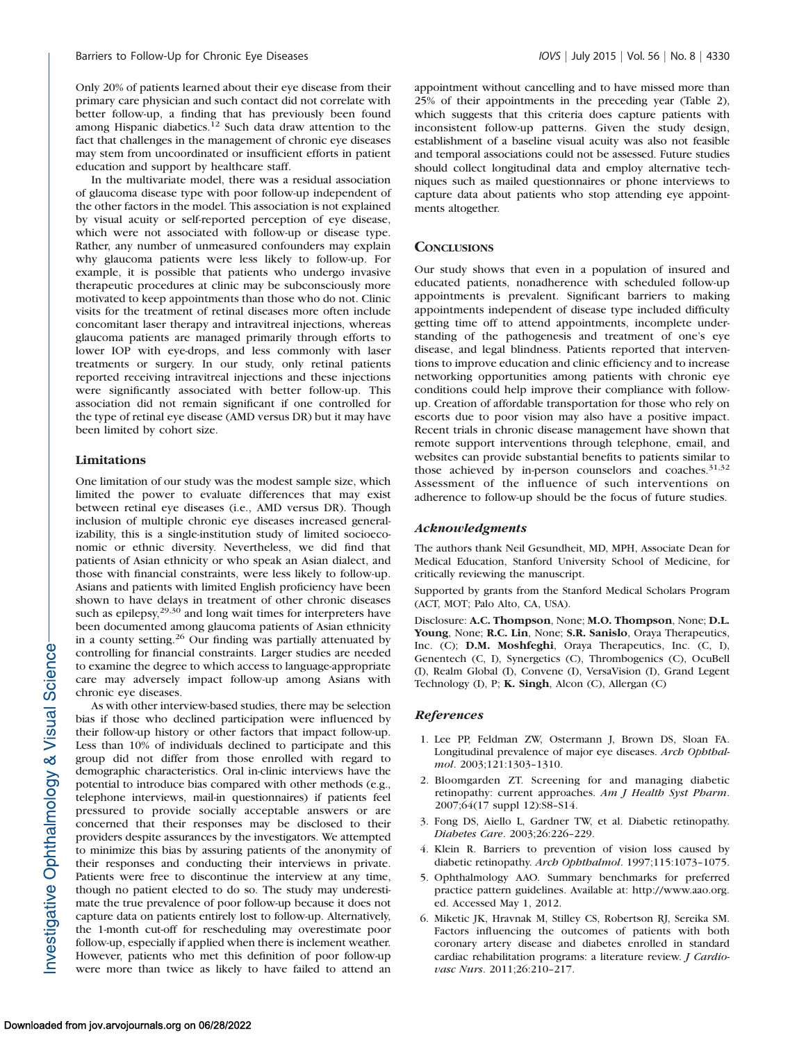Only 20% of patients learned about their eye disease from their primary care physician and such contact did not correlate with better follow-up, a finding that has previously been found among Hispanic diabetics.<sup>12</sup> Such data draw attention to the fact that challenges in the management of chronic eye diseases may stem from uncoordinated or insufficient efforts in patient education and support by healthcare staff.

In the multivariate model, there was a residual association of glaucoma disease type with poor follow-up independent of the other factors in the model. This association is not explained by visual acuity or self-reported perception of eye disease, which were not associated with follow-up or disease type. Rather, any number of unmeasured confounders may explain why glaucoma patients were less likely to follow-up. For example, it is possible that patients who undergo invasive therapeutic procedures at clinic may be subconsciously more motivated to keep appointments than those who do not. Clinic visits for the treatment of retinal diseases more often include concomitant laser therapy and intravitreal injections, whereas glaucoma patients are managed primarily through efforts to lower IOP with eye-drops, and less commonly with laser treatments or surgery. In our study, only retinal patients reported receiving intravitreal injections and these injections were significantly associated with better follow-up. This association did not remain significant if one controlled for the type of retinal eye disease (AMD versus DR) but it may have been limited by cohort size.

## Limitations

One limitation of our study was the modest sample size, which limited the power to evaluate differences that may exist between retinal eye diseases (i.e., AMD versus DR). Though inclusion of multiple chronic eye diseases increased generalizability, this is a single-institution study of limited socioeconomic or ethnic diversity. Nevertheless, we did find that patients of Asian ethnicity or who speak an Asian dialect, and those with financial constraints, were less likely to follow-up. Asians and patients with limited English proficiency have been shown to have delays in treatment of other chronic diseases such as epilepsy, $29,30$  and long wait times for interpreters have been documented among glaucoma patients of Asian ethnicity in a county setting.<sup>26</sup> Our finding was partially attenuated by controlling for financial constraints. Larger studies are needed to examine the degree to which access to language-appropriate care may adversely impact follow-up among Asians with chronic eye diseases.

As with other interview-based studies, there may be selection bias if those who declined participation were influenced by their follow-up history or other factors that impact follow-up. Less than 10% of individuals declined to participate and this group did not differ from those enrolled with regard to demographic characteristics. Oral in-clinic interviews have the potential to introduce bias compared with other methods (e.g., telephone interviews, mail-in questionnaires) if patients feel pressured to provide socially acceptable answers or are concerned that their responses may be disclosed to their providers despite assurances by the investigators. We attempted to minimize this bias by assuring patients of the anonymity of their responses and conducting their interviews in private. Patients were free to discontinue the interview at any time, though no patient elected to do so. The study may underestimate the true prevalence of poor follow-up because it does not capture data on patients entirely lost to follow-up. Alternatively, the 1-month cut-off for rescheduling may overestimate poor follow-up, especially if applied when there is inclement weather. However, patients who met this definition of poor follow-up were more than twice as likely to have failed to attend an

appointment without cancelling and to have missed more than 25% of their appointments in the preceding year (Table 2), which suggests that this criteria does capture patients with inconsistent follow-up patterns. Given the study design, establishment of a baseline visual acuity was also not feasible and temporal associations could not be assessed. Future studies should collect longitudinal data and employ alternative techniques such as mailed questionnaires or phone interviews to capture data about patients who stop attending eye appointments altogether.

## **CONCLUSIONS**

Our study shows that even in a population of insured and educated patients, nonadherence with scheduled follow-up appointments is prevalent. Significant barriers to making appointments independent of disease type included difficulty getting time off to attend appointments, incomplete understanding of the pathogenesis and treatment of one's eye disease, and legal blindness. Patients reported that interventions to improve education and clinic efficiency and to increase networking opportunities among patients with chronic eye conditions could help improve their compliance with followup. Creation of affordable transportation for those who rely on escorts due to poor vision may also have a positive impact. Recent trials in chronic disease management have shown that remote support interventions through telephone, email, and websites can provide substantial benefits to patients similar to those achieved by in-person counselors and coaches.<sup>31,32</sup> Assessment of the influence of such interventions on adherence to follow-up should be the focus of future studies.

## Acknowledgments

The authors thank Neil Gesundheit, MD, MPH, Associate Dean for Medical Education, Stanford University School of Medicine, for critically reviewing the manuscript.

Supported by grants from the Stanford Medical Scholars Program (ACT, MOT; Palo Alto, CA, USA).

Disclosure: A.C. Thompson, None; M.O. Thompson, None; D.L. Young, None; R.C. Lin, None; S.R. Sanislo, Oraya Therapeutics, Inc. (C); **D.M. Moshfeghi**, Oraya Therapeutics, Inc. (C, I), Genentech (C, I), Synergetics (C), Thrombogenics (C), OcuBell (I), Realm Global (I), Convene (I), VersaVision (I), Grand Legent Technology (I), P; K. Singh, Alcon (C), Allergan (C)

### **References**

- 1. Lee PP, Feldman ZW, Ostermann J, Brown DS, Sloan FA. Longitudinal prevalence of major eye diseases. Arch Ophthalmol. 2003;121:1303–1310.
- 2. Bloomgarden ZT. Screening for and managing diabetic retinopathy: current approaches. Am J Health Syst Pharm. 2007;64(17 suppl 12):S8–S14.
- 3. Fong DS, Aiello L, Gardner TW, et al. Diabetic retinopathy. Diabetes Care. 2003;26:226–229.
- 4. Klein R. Barriers to prevention of vision loss caused by diabetic retinopathy. Arch Ophthalmol. 1997;115:1073–1075.
- 5. Ophthalmology AAO. Summary benchmarks for preferred practice pattern guidelines. Available at: http://www.aao.org. ed. Accessed May 1, 2012.
- 6. Miketic JK, Hravnak M, Stilley CS, Robertson RJ, Sereika SM. Factors influencing the outcomes of patients with both coronary artery disease and diabetes enrolled in standard cardiac rehabilitation programs: a literature review. J Cardiovasc Nurs. 2011;26:210–217.